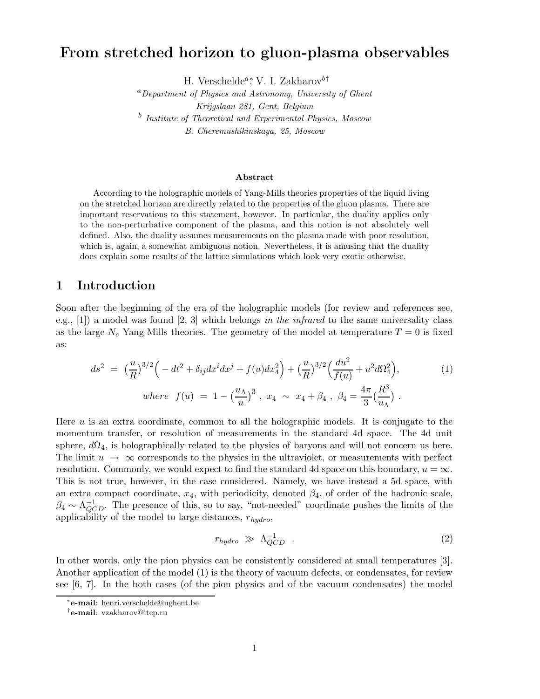# From stretched horizon to gluon-plasma observables

H. Verschelde<sup>a</sup><sup>\*</sup>, V. I. Zakharov<sup>b†</sup>

 ${}^{a}$ Department of Physics and Astronomy, University of Ghent Krijgslaan 281, Gent, Belgium <sup>b</sup> Institute of Theoretical and Experimental Physics, Moscow B. Cheremushikinskaya, 25, Moscow

#### Abstract

According to the holographic models of Yang-Mills theories properties of the liquid living on the stretched horizon are directly related to the properties of the gluon plasma. There are important reservations to this statement, however. In particular, the duality applies only to the non-perturbative component of the plasma, and this notion is not absolutely well defined. Also, the duality assumes measurements on the plasma made with poor resolution, which is, again, a somewhat ambiguous notion. Nevertheless, it is amusing that the duality does explain some results of the lattice simulations which look very exotic otherwise.

## 1 Introduction

Soon after the beginning of the era of the holographic models (for review and references see, e.g., [1]) a model was found [2, 3] which belongs in the infrared to the same universality class as the large- $N_c$  Yang-Mills theories. The geometry of the model at temperature  $T = 0$  is fixed as:

$$
ds^{2} = \left(\frac{u}{R}\right)^{3/2} \left(-dt^{2} + \delta_{ij}dx^{i}dx^{j} + f(u)dx_{4}^{2}\right) + \left(\frac{u}{R}\right)^{3/2} \left(\frac{du^{2}}{f(u)} + u^{2}d\Omega_{4}^{2}\right),
$$
\n
$$
where \ f(u) = 1 - \left(\frac{u_{\Lambda}}{u}\right)^{3}, \ x_{4} \sim x_{4} + \beta_{4}, \ \beta_{4} = \frac{4\pi}{3} \left(\frac{R^{3}}{u_{\Lambda}}\right).
$$
\n(1)

Here u is an extra coordinate, common to all the holographic models. It is conjugate to the momentum transfer, or resolution of measurements in the standard 4d space. The 4d unit sphere,  $d\Omega_4$ , is holographically related to the physics of baryons and will not concern us here. The limit  $u \to \infty$  corresponds to the physics in the ultraviolet, or measurements with perfect resolution. Commonly, we would expect to find the standard 4d space on this boundary,  $u = \infty$ . This is not true, however, in the case considered. Namely, we have instead a 5d space, with an extra compact coordinate,  $x_4$ , with periodicity, denoted  $\beta_4$ , of order of the hadronic scale,  $\beta_4 \sim \Lambda_{QCD}^{-1}$ . The presence of this, so to say, "not-needed" coordinate pushes the limits of the applicability of the model to large distances,  $r_{hydro}$ ,

$$
r_{hydro} \gg \Lambda_{QCD}^{-1} \tag{2}
$$

In other words, only the pion physics can be consistently considered at small temperatures [3]. Another application of the model (1) is the theory of vacuum defects, or condensates, for review see [6, 7]. In the both cases (of the pion physics and of the vacuum condensates) the model

<sup>∗</sup> e-mail: henri.verschelde@ughent.be

<sup>†</sup> e-mail: vzakharov@itep.ru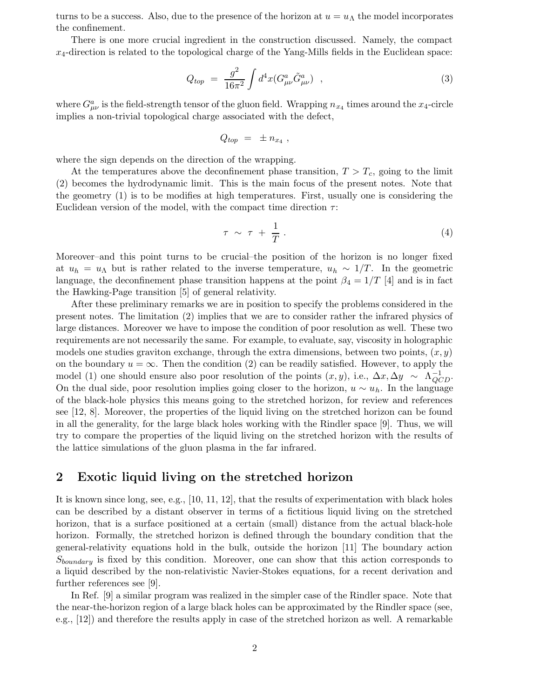turns to be a success. Also, due to the presence of the horizon at  $u = u<sub>\Lambda</sub>$  the model incorporates the confinement.

There is one more crucial ingredient in the construction discussed. Namely, the compact  $x_4$ -direction is related to the topological charge of the Yang-Mills fields in the Euclidean space:

$$
Q_{top} = \frac{g^2}{16\pi^2} \int d^4x (G^a_{\mu\nu} \tilde{G}^a_{\mu\nu}) \quad , \tag{3}
$$

where  $G_{\mu\nu}^a$  is the field-strength tensor of the gluon field. Wrapping  $n_{x_4}$  times around the  $x_4$ -circle implies a non-trivial topological charge associated with the defect,

$$
Q_{top} = \pm n_{x_4} ,
$$

where the sign depends on the direction of the wrapping.

At the temperatures above the deconfinement phase transition,  $T > T_c$ , going to the limit (2) becomes the hydrodynamic limit. This is the main focus of the present notes. Note that the geometry (1) is to be modifies at high temperatures. First, usually one is considering the Euclidean version of the model, with the compact time direction  $\tau$ :

$$
\tau \sim \tau + \frac{1}{T} \,. \tag{4}
$$

Moreover–and this point turns to be crucial–the position of the horizon is no longer fixed at  $u_h = u_\Lambda$  but is rather related to the inverse temperature,  $u_h \sim 1/T$ . In the geometric language, the deconfinement phase transition happens at the point  $\beta_4 = 1/T$  [4] and is in fact the Hawking-Page transition [5] of general relativity.

After these preliminary remarks we are in position to specify the problems considered in the present notes. The limitation (2) implies that we are to consider rather the infrared physics of large distances. Moreover we have to impose the condition of poor resolution as well. These two requirements are not necessarily the same. For example, to evaluate, say, viscosity in holographic models one studies graviton exchange, through the extra dimensions, between two points,  $(x, y)$ on the boundary  $u = \infty$ . Then the condition (2) can be readily satisfied. However, to apply the model (1) one should ensure also poor resolution of the points  $(x, y)$ , i.e.,  $\Delta x$ ,  $\Delta y \sim \Lambda_{QCD}^{-1}$ . On the dual side, poor resolution implies going closer to the horizon,  $u \sim u_h$ . In the language of the black-hole physics this means going to the stretched horizon, for review and references see [12, 8]. Moreover, the properties of the liquid living on the stretched horizon can be found in all the generality, for the large black holes working with the Rindler space [9]. Thus, we will try to compare the properties of the liquid living on the stretched horizon with the results of the lattice simulations of the gluon plasma in the far infrared.

# 2 Exotic liquid living on the stretched horizon

It is known since long, see, e.g., [10, 11, 12], that the results of experimentation with black holes can be described by a distant observer in terms of a fictitious liquid living on the stretched horizon, that is a surface positioned at a certain (small) distance from the actual black-hole horizon. Formally, the stretched horizon is defined through the boundary condition that the general-relativity equations hold in the bulk, outside the horizon [11] The boundary action  $S_{boundary}$  is fixed by this condition. Moreover, one can show that this action corresponds to a liquid described by the non-relativistic Navier-Stokes equations, for a recent derivation and further references see [9].

In Ref. [9] a similar program was realized in the simpler case of the Rindler space. Note that the near-the-horizon region of a large black holes can be approximated by the Rindler space (see, e.g., [12]) and therefore the results apply in case of the stretched horizon as well. A remarkable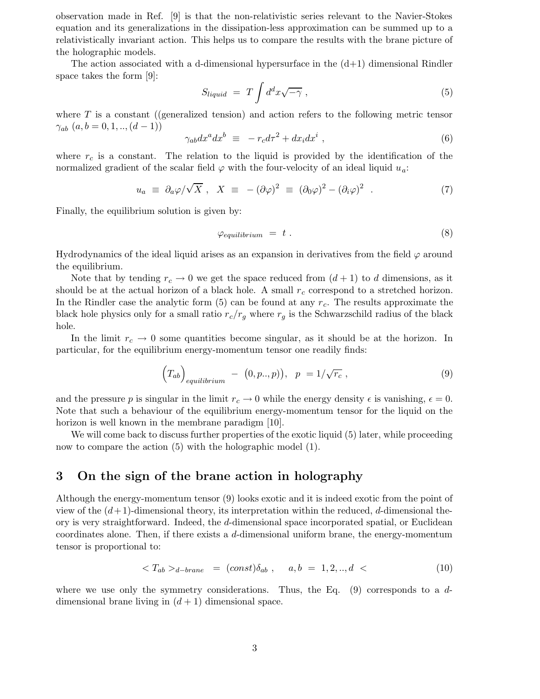observation made in Ref. [9] is that the non-relativistic series relevant to the Navier-Stokes equation and its generalizations in the dissipation-less approximation can be summed up to a relativistically invariant action. This helps us to compare the results with the brane picture of the holographic models.

The action associated with a d-dimensional hypersurface in the  $(d+1)$  dimensional Rindler space takes the form [9]:

$$
S_{liquid} = T \int d^d x \sqrt{-\gamma} \,, \tag{5}
$$

where  $T$  is a constant ((generalized tension) and action refers to the following metric tensor  $\gamma_{ab}$   $(a, b = 0, 1, ..., (d-1))$ 

$$
\gamma_{ab} dx^a dx^b \equiv -r_c d\tau^2 + dx_i dx^i , \qquad (6)
$$

where  $r_c$  is a constant. The relation to the liquid is provided by the identification of the normalized gradient of the scalar field  $\varphi$  with the four-velocity of an ideal liquid  $u_a$ :

$$
u_a \equiv \partial_a \varphi / \sqrt{X} \ , \quad X \equiv -(\partial \varphi)^2 \equiv (\partial_0 \varphi)^2 - (\partial_i \varphi)^2 \ . \tag{7}
$$

Finally, the equilibrium solution is given by:

$$
\varphi_{equilibrium} = t . \tag{8}
$$

Hydrodynamics of the ideal liquid arises as an expansion in derivatives from the field  $\varphi$  around the equilibrium.

Note that by tending  $r_c \to 0$  we get the space reduced from  $(d+1)$  to d dimensions, as it should be at the actual horizon of a black hole. A small  $r_c$  correspond to a stretched horizon. In the Rindler case the analytic form  $(5)$  can be found at any  $r_c$ . The results approximate the black hole physics only for a small ratio  $r_c/r_g$  where  $r_g$  is the Schwarzschild radius of the black hole.

In the limit  $r_c \to 0$  some quantities become singular, as it should be at the horizon. In particular, for the equilibrium energy-momentum tensor one readily finds:

$$
\left(T_{ab}\right)_{equilibrium} - (0, p., p)\,, \quad p = 1/\sqrt{r_c} \,, \tag{9}
$$

and the pressure p is singular in the limit  $r_c \to 0$  while the energy density  $\epsilon$  is vanishing,  $\epsilon = 0$ . Note that such a behaviour of the equilibrium energy-momentum tensor for the liquid on the horizon is well known in the membrane paradigm [10].

We will come back to discuss further properties of the exotic liquid (5) later, while proceeding now to compare the action  $(5)$  with the holographic model  $(1)$ .

# 3 On the sign of the brane action in holography

Although the energy-momentum tensor (9) looks exotic and it is indeed exotic from the point of view of the  $(d+1)$ -dimensional theory, its interpretation within the reduced, d-dimensional theory is very straightforward. Indeed, the d-dimensional space incorporated spatial, or Euclidean coordinates alone. Then, if there exists a d-dimensional uniform brane, the energy-momentum tensor is proportional to:

$$
\langle T_{ab} \rangle_{d-brane} = (const)\delta_{ab} , a, b = 1, 2, ..., d \langle 10 \rangle
$$

where we use only the symmetry considerations. Thus, the Eq.  $(9)$  corresponds to a ddimensional brane living in  $(d+1)$  dimensional space.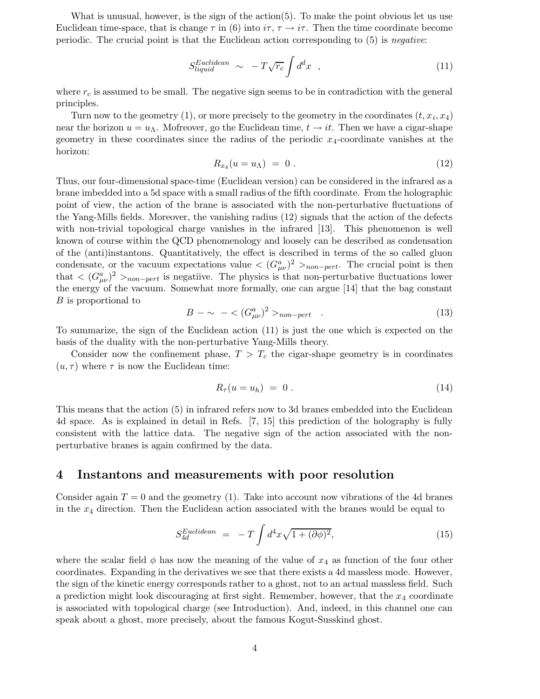What is unusual, however, is the sign of the action $(5)$ . To make the point obvious let us use Euclidean time-space, that is change  $\tau$  in (6) into  $i\tau$ ,  $\tau \to i\tau$ . Then the time coordinate become periodic. The crucial point is that the Euclidean action corresponding to (5) is negative:

$$
S_{liquid}^{Euclidean} \sim -T\sqrt{r_c} \int d^d x \quad , \tag{11}
$$

where  $r_c$  is assumed to be small. The negative sign seems to be in contradiction with the general principles.

Turn now to the geometry (1), or more precisely to the geometry in the coordinates  $(t, x_i, x_4)$ near the horizon  $u = u<sub>A</sub>$ . Mofreover, go the Euclidean time,  $t \to it$ . Then we have a cigar-shape geometry in these coordinates since the radius of the periodic  $x_4$ -coordinate vanishes at the horizon:

$$
R_{x_4}(u=u_\Lambda) = 0.
$$
\n
$$
(12)
$$

Thus, our four-dimensional space-time (Euclidean version) can be considered in the infrared as a brane imbedded into a 5d space with a small radius of the fifth coordinate. From the holographic point of view, the action of the brane is associated with the non-perturbative fluctuations of the Yang-Mills fields. Moreover, the vanishing radius (12) signals that the action of the defects with non-trivial topological charge vanishes in the infrared [13]. This phenomenon is well known of course within the QCD phenomenology and loosely can be described as condensation of the (anti)instantons. Quantitatively, the effect is described in terms of the so called gluon condensate, or the vacuum expectations value  $\langle (G_{\mu\nu}^a)^2 \rangle_{non-pert}$ . The crucial point is then that  $\langle (G_{\mu\nu}^a)^2 \rangle_{non-pert}$  is negatiive. The physics is that non-perturbative fluctuations lower the energy of the vacuum. Somewhat more formally, one can argue [14] that the bag constant B is proportional to

$$
B - \sim - \langle (G_{\mu\nu}^a)^2 \rangle_{non-pert} . \tag{13}
$$

To summarize, the sign of the Euclidean action (11) is just the one which is expected on the basis of the duality with the non-perturbative Yang-Mills theory.

Consider now the confinement phase,  $T > T_c$  the cigar-shape geometry is in coordinates  $(u, \tau)$  where  $\tau$  is now the Euclidean time:

$$
R_{\tau}(u=u_h) = 0. \qquad (14)
$$

This means that the action (5) in infrared refers now to 3d branes embedded into the Euclidean 4d space. As is explained in detail in Refs. [7, 15] this prediction of the holography is fully consistent with the lattice data. The negative sign of the action associated with the nonperturbative branes is again confirmed by the data.

#### 4 Instantons and measurements with poor resolution

Consider again  $T = 0$  and the geometry (1). Take into account now vibrations of the 4d branes in the  $x_4$  direction. Then the Euclidean action associated with the branes would be equal to

$$
S_{4d}^{Euclidean} = -T \int d^4x \sqrt{1 + (\partial \phi)^2}, \tag{15}
$$

where the scalar field  $\phi$  has now the meaning of the value of  $x_4$  as function of the four other coordinates. Expanding in the derivatives we see that there exists a 4d massless mode. However, the sign of the kinetic energy corresponds rather to a ghost, not to an actual massless field. Such a prediction might look discouraging at first sight. Remember, however, that the  $x_4$  coordinate is associated with topological charge (see Introduction). And, indeed, in this channel one can speak about a ghost, more precisely, about the famous Kogut-Susskind ghost.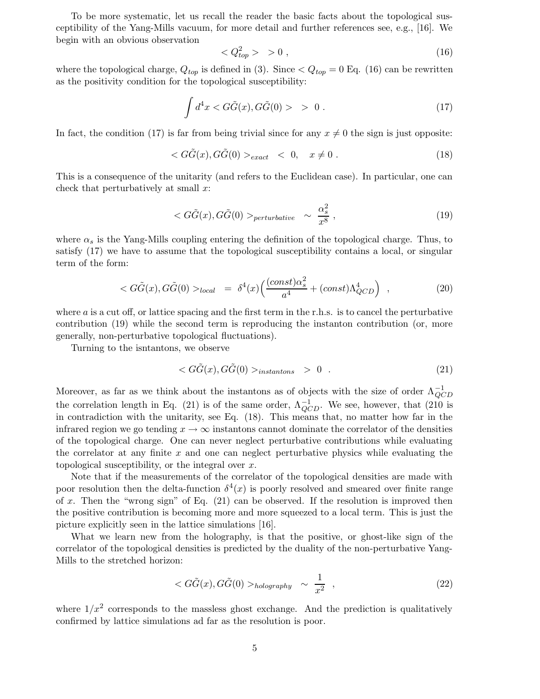To be more systematic, let us recall the reader the basic facts about the topological susceptibility of the Yang-Mills vacuum, for more detail and further references see, e.g., [16]. We begin with an obvious observation

$$
\langle Q_{top}^2 \rangle > 0 , \qquad (16)
$$

where the topological charge,  $Q_{top}$  is defined in (3). Since  $\langle Q_{top} = 0 \rangle$  Eq. (16) can be rewritten as the positivity condition for the topological susceptibility:

$$
\int d^4x < G\tilde{G}(x), G\tilde{G}(0) > 0 \tag{17}
$$

In fact, the condition (17) is far from being trivial since for any  $x \neq 0$  the sign is just opposite:

$$
\langle G\tilde{G}(x), G\tilde{G}(0) \rangle_{exact} \langle 0, x \neq 0. \tag{18}
$$

This is a consequence of the unitarity (and refers to the Euclidean case). In particular, one can check that perturbatively at small  $x$ :

$$
\langle G\tilde{G}(x), G\tilde{G}(0) \rangle_{perturbative} \sim \frac{\alpha_s^2}{x^8} \,, \tag{19}
$$

where  $\alpha_s$  is the Yang-Mills coupling entering the definition of the topological charge. Thus, to satisfy (17) we have to assume that the topological susceptibility contains a local, or singular term of the form:

$$
\langle G\tilde{G}(x), G\tilde{G}(0) \rangle_{local} = \delta^4(x) \Big( \frac{(const)\alpha_s^2}{a^4} + (const)\Lambda_{QCD}^4 \Big) , \qquad (20)
$$

where  $\alpha$  is a cut off, or lattice spacing and the first term in the r.h.s. is to cancel the perturbative contribution (19) while the second term is reproducing the instanton contribution (or, more generally, non-perturbative topological fluctuations).

Turning to the isntantons, we observe

$$
\langle G\tilde{G}(x), G\tilde{G}(0) \rangle_{instantons} > 0 . \qquad (21)
$$

Moreover, as far as we think about the instantons as of objects with the size of order  $\Lambda_{OC}^{-1}$  $_{QCD}$ the correlation length in Eq. (21) is of the same order,  $\Lambda_{OC}^{-1}$  $_{QCD}^{-1}$ . We see, however, that (210 is in contradiction with the unitarity, see Eq. (18). This means that, no matter how far in the infrared region we go tending  $x \to \infty$  instantons cannot dominate the correlator of the densities of the topological charge. One can never neglect perturbative contributions while evaluating the correlator at any finite  $x$  and one can neglect perturbative physics while evaluating the topological susceptibility, or the integral over  $x$ .

Note that if the measurements of the correlator of the topological densities are made with poor resolution then the delta-function  $\delta^4(x)$  is poorly resolved and smeared over finite range of x. Then the "wrong sign" of Eq.  $(21)$  can be observed. If the resolution is improved then the positive contribution is becoming more and more squeezed to a local term. This is just the picture explicitly seen in the lattice simulations [16].

What we learn new from the holography, is that the positive, or ghost-like sign of the correlator of the topological densities is predicted by the duality of the non-perturbative Yang-Mills to the stretched horizon:

$$
\langle G\tilde{G}(x), G\tilde{G}(0) \rangle_{hologyaphy} \sim \frac{1}{x^2} \quad , \tag{22}
$$

where  $1/x^2$  corresponds to the massless ghost exchange. And the prediction is qualitatively confirmed by lattice simulations ad far as the resolution is poor.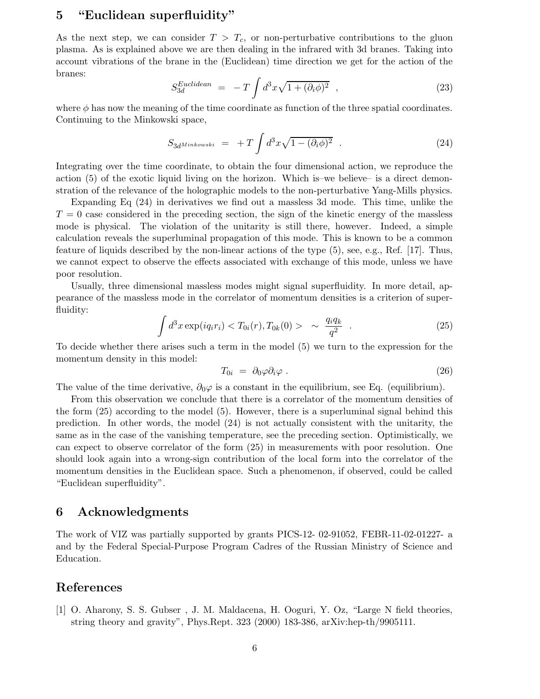# 5 "Euclidean superfluidity"

As the next step, we can consider  $T > T_c$ , or non-perturbative contributions to the gluon plasma. As is explained above we are then dealing in the infrared with 3d branes. Taking into account vibrations of the brane in the (Euclidean) time direction we get for the action of the branes:

$$
S_{3d}^{Euclidean} = -T \int d^3x \sqrt{1 + (\partial_i \phi)^2} , \qquad (23)
$$

where  $\phi$  has now the meaning of the time coordinate as function of the three spatial coordinates. Continuing to the Minkowski space,

$$
S_{3d^{Minkowski}} = +T \int d^3x \sqrt{1 - (\partial_i \phi)^2} . \qquad (24)
$$

Integrating over the time coordinate, to obtain the four dimensional action, we reproduce the action (5) of the exotic liquid living on the horizon. Which is–we believe– is a direct demonstration of the relevance of the holographic models to the non-perturbative Yang-Mills physics.

Expanding Eq (24) in derivatives we find out a massless 3d mode. This time, unlike the  $T = 0$  case considered in the preceding section, the sign of the kinetic energy of the massless mode is physical. The violation of the unitarity is still there, however. Indeed, a simple calculation reveals the superluminal propagation of this mode. This is known to be a common feature of liquids described by the non-linear actions of the type (5), see, e.g., Ref. [17]. Thus, we cannot expect to observe the effects associated with exchange of this mode, unless we have poor resolution.

Usually, three dimensional massless modes might signal superfluidity. In more detail, appearance of the massless mode in the correlator of momentum densities is a criterion of superfluidity:

$$
\int d^3x \exp(iq_i r_i) < T_{0i}(r), T_{0k}(0) > \sim \frac{q_i q_k}{q^2} \tag{25}
$$

To decide whether there arises such a term in the model (5) we turn to the expression for the momentum density in this model:

$$
T_{0i} = \partial_0 \varphi \partial_i \varphi \ . \tag{26}
$$

The value of the time derivative,  $\partial_0\varphi$  is a constant in the equilibrium, see Eq. (equilibrium).

From this observation we conclude that there is a correlator of the momentum densities of the form (25) according to the model (5). However, there is a superluminal signal behind this prediction. In other words, the model (24) is not actually consistent with the unitarity, the same as in the case of the vanishing temperature, see the preceding section. Optimistically, we can expect to observe correlator of the form (25) in measurements with poor resolution. One should look again into a wrong-sign contribution of the local form into the correlator of the momentum densities in the Euclidean space. Such a phenomenon, if observed, could be called "Euclidean superfluidity".

## 6 Acknowledgments

The work of VIZ was partially supported by grants PICS-12- 02-91052, FEBR-11-02-01227- a and by the Federal Special-Purpose Program Cadres of the Russian Ministry of Science and Education.

### References

[1] O. Aharony, S. S. Gubser , J. M. Maldacena, H. Ooguri, Y. Oz, "Large N field theories, string theory and gravity", Phys.Rept. 323 (2000) 183-386, arXiv:hep-th/9905111.